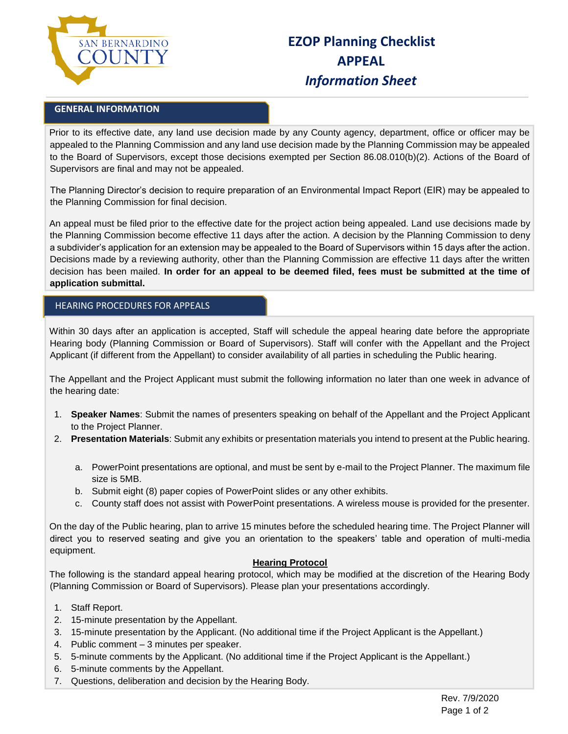

# **EZOP Planning Checklist APPEAL**  *Information Sheet*

### **GENERAL INFORMATION**

Prior to its effective date, any land use decision made by any County agency, department, office or officer may be appealed to the Planning Commission and any land use decision made by the Planning Commission may be appealed to the Board of Supervisors, except those decisions exempted per Section 86.08.010(b)(2). Actions of the Board of Supervisors are final and may not be appealed.

The Planning Director's decision to require preparation of an Environmental Impact Report (EIR) may be appealed to the Planning Commission for final decision.

An appeal must be filed prior to the effective date for the project action being appealed. Land use decisions made by the Planning Commission become effective 11 days after the action. A decision by the Planning Commission to deny a subdivider's application for an extension may be appealed to the Board of Supervisors within 15 days after the action. Decisions made by a reviewing authority, other than the Planning Commission are effective 11 days after the written decision has been mailed. **In order for an appeal to be deemed filed, fees must be submitted at the time of application submittal.** 

#### HEARING PROCEDURES FOR APPEALS

Within 30 days after an application is accepted, Staff will schedule the appeal hearing date before the appropriate Hearing body (Planning Commission or Board of Supervisors). Staff will confer with the Appellant and the Project Applicant (if different from the Appellant) to consider availability of all parties in scheduling the Public hearing.

The Appellant and the Project Applicant must submit the following information no later than one week in advance of the hearing date:

- 1. **Speaker Names**: Submit the names of presenters speaking on behalf of the Appellant and the Project Applicant to the Project Planner.
- 2. **Presentation Materials**: Submit any exhibits or presentation materials you intend to present at the Public hearing.
	- a. PowerPoint presentations are optional, and must be sent by e-mail to the Project Planner. The maximum file size is 5MB.
	- b. Submit eight (8) paper copies of PowerPoint slides or any other exhibits.
	- c. County staff does not assist with PowerPoint presentations. A wireless mouse is provided for the presenter.

On the day of the Public hearing, plan to arrive 15 minutes before the scheduled hearing time. The Project Planner will direct you to reserved seating and give you an orientation to the speakers' table and operation of multi-media equipment.

#### **Hearing Protocol**

The following is the standard appeal hearing protocol, which may be modified at the discretion of the Hearing Body (Planning Commission or Board of Supervisors). Please plan your presentations accordingly.

- 1. Staff Report.
- 2. 15-minute presentation by the Appellant.
- 3. 15-minute presentation by the Applicant. (No additional time if the Project Applicant is the Appellant.)
- 4. Public comment 3 minutes per speaker.
- 5. 5-minute comments by the Applicant. (No additional time if the Project Applicant is the Appellant.)
- 6. 5-minute comments by the Appellant.
- 7. Questions, deliberation and decision by the Hearing Body.